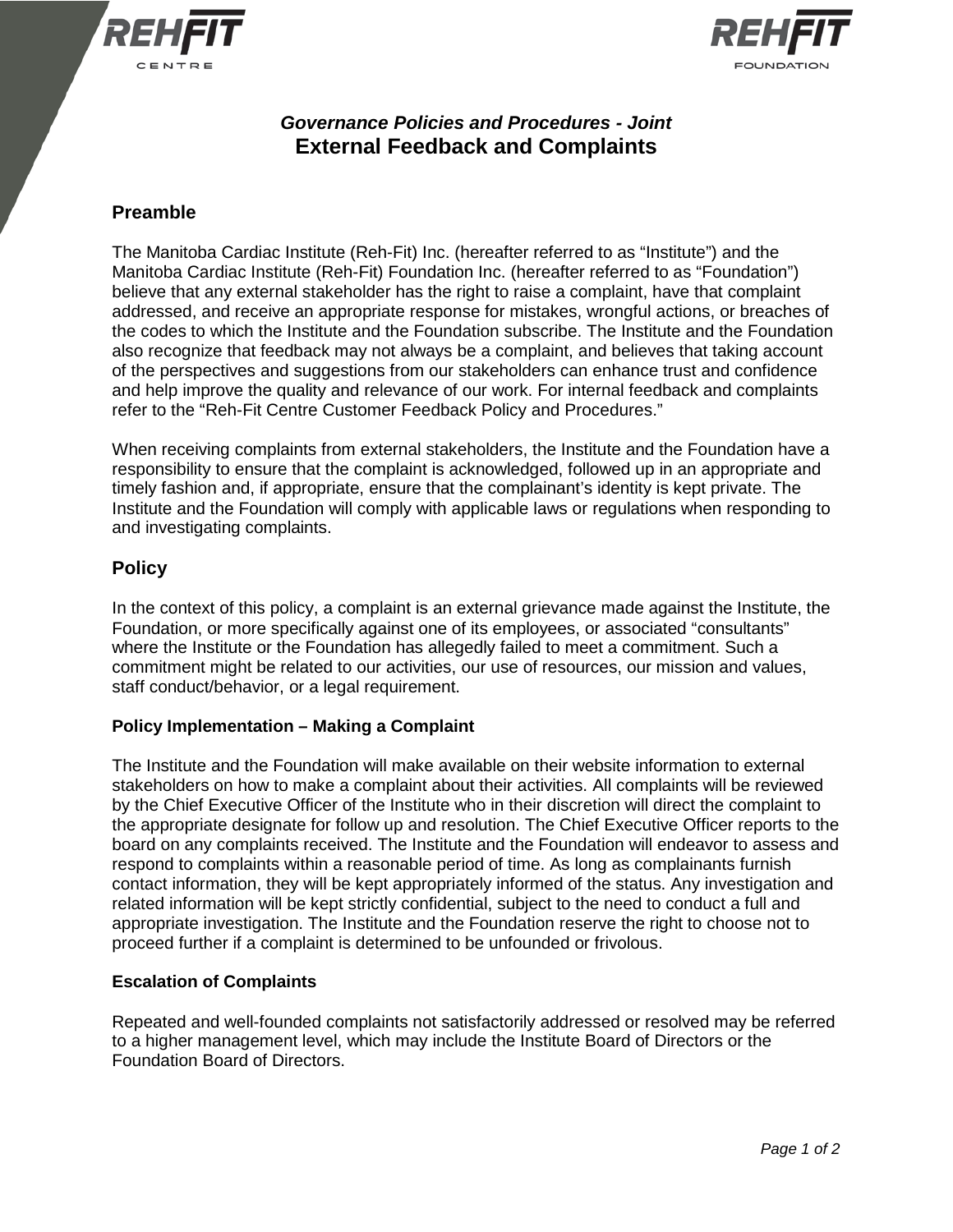



# *Governance Policies and Procedures - Joint* **External Feedback and Complaints**

## **Preamble**

The Manitoba Cardiac Institute (Reh-Fit) Inc. (hereafter referred to as "Institute") and the Manitoba Cardiac Institute (Reh-Fit) Foundation Inc. (hereafter referred to as "Foundation") believe that any external stakeholder has the right to raise a complaint, have that complaint addressed, and receive an appropriate response for mistakes, wrongful actions, or breaches of the codes to which the Institute and the Foundation subscribe. The Institute and the Foundation also recognize that feedback may not always be a complaint, and believes that taking account of the perspectives and suggestions from our stakeholders can enhance trust and confidence and help improve the quality and relevance of our work. For internal feedback and complaints refer to the "Reh-Fit Centre Customer Feedback Policy and Procedures."

When receiving complaints from external stakeholders, the Institute and the Foundation have a responsibility to ensure that the complaint is acknowledged, followed up in an appropriate and timely fashion and, if appropriate, ensure that the complainant's identity is kept private. The Institute and the Foundation will comply with applicable laws or regulations when responding to and investigating complaints.

### **Policy**

In the context of this policy, a complaint is an external grievance made against the Institute, the Foundation, or more specifically against one of its employees, or associated "consultants" where the Institute or the Foundation has allegedly failed to meet a commitment. Such a commitment might be related to our activities, our use of resources, our mission and values, staff conduct/behavior, or a legal requirement.

### **Policy Implementation – Making a Complaint**

The Institute and the Foundation will make available on their website information to external stakeholders on how to make a complaint about their activities. All complaints will be reviewed by the Chief Executive Officer of the Institute who in their discretion will direct the complaint to the appropriate designate for follow up and resolution. The Chief Executive Officer reports to the board on any complaints received. The Institute and the Foundation will endeavor to assess and respond to complaints within a reasonable period of time. As long as complainants furnish contact information, they will be kept appropriately informed of the status. Any investigation and related information will be kept strictly confidential, subject to the need to conduct a full and appropriate investigation. The Institute and the Foundation reserve the right to choose not to proceed further if a complaint is determined to be unfounded or frivolous.

### **Escalation of Complaints**

Repeated and well-founded complaints not satisfactorily addressed or resolved may be referred to a higher management level, which may include the Institute Board of Directors or the Foundation Board of Directors.